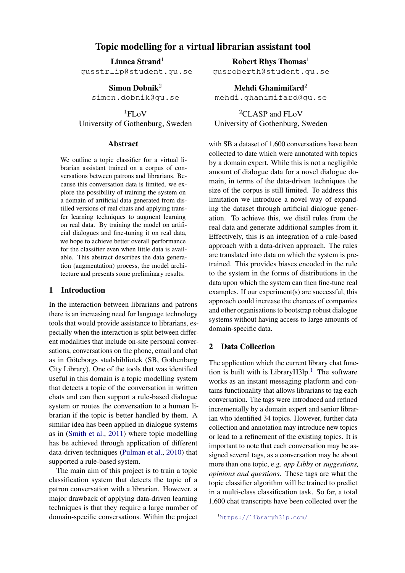# Topic modelling for a virtual librarian assistant tool

Linnea Strand<sup>1</sup>

gusstrlip@student.gu.se

Simon Dobnik<sup>2</sup> simon.dobnik@gu.se

 ${}^{1}$ FLoV University of Gothenburg, Sweden

#### Abstract

We outline a topic classifier for a virtual librarian assistant trained on a corpus of conversations between patrons and librarians. Because this conversation data is limited, we explore the possibility of training the system on a domain of artificial data generated from distilled versions of real chats and applying transfer learning techniques to augment learning on real data. By training the model on artificial dialogues and fine-tuning it on real data, we hope to achieve better overall performance for the classifier even when little data is available. This abstract describes the data generation (augmentation) process, the model architecture and presents some preliminary results.

### 1 Introduction

In the interaction between librarians and patrons there is an increasing need for language technology tools that would provide assistance to librarians, especially when the interaction is split between different modalities that include on-site personal conversations, conversations on the phone, email and chat as in Goteborgs stadsbibliotek (SB, Gothenburg ¨ City Library). One of the tools that was identified useful in this domain is a topic modelling system that detects a topic of the conversation in written chats and can then support a rule-based dialogue system or routes the conversation to a human librarian if the topic is better handled by them. A similar idea has been applied in dialogue systems as in [\(Smith et al.,](#page-2-0) [2011\)](#page-2-0) where topic modelling has be achieved through application of different data-driven techniques [\(Pulman et al.,](#page-2-1) [2010\)](#page-2-1) that supported a rule-based system.

The main aim of this project is to train a topic classification system that detects the topic of a patron conversation with a librarian. However, a major drawback of applying data-driven learning techniques is that they require a large number of domain-specific conversations. Within the project

Robert Rhys Thomas<sup>1</sup> gusroberth@student.gu.se

Mehdi Ghanimifard $2$ mehdi.ghanimifard@gu.se

<sup>2</sup>CLASP and FLoV University of Gothenburg, Sweden

with SB a dataset of 1,600 conversations have been collected to date which were annotated with topics by a domain expert. While this is not a negligible amount of dialogue data for a novel dialogue domain, in terms of the data-driven techniques the size of the corpus is still limited. To address this limitation we introduce a novel way of expanding the dataset through artificial dialogue generation. To achieve this, we distil rules from the real data and generate additional samples from it. Effectively, this is an integration of a rule-based approach with a data-driven approach. The rules are translated into data on which the system is pretrained. This provides biases encoded in the rule to the system in the forms of distributions in the data upon which the system can then fine-tune real examples. If our experiment(s) are successful, this approach could increase the chances of companies and other organisations to bootstrap robust dialogue systems without having access to large amounts of domain-specific data.

### 2 Data Collection

The application which the current library chat function is built with is Library $H3lp.$ <sup>[1](#page-0-0)</sup> The software works as an instant messaging platform and contains functionality that allows librarians to tag each conversation. The tags were introduced and refined incrementally by a domain expert and senior librarian who identified 34 topics. However, further data collection and annotation may introduce new topics or lead to a refinement of the existing topics. It is important to note that each conversation may be assigned several tags, as a conversation may be about more than one topic, e.g. *app Libby* or *suggestions, opinions and questions*. These tags are what the topic classifier algorithm will be trained to predict in a multi-class classification task. So far, a total 1,600 chat transcripts have been collected over the

<span id="page-0-0"></span><sup>1</sup><https://libraryh3lp.com/>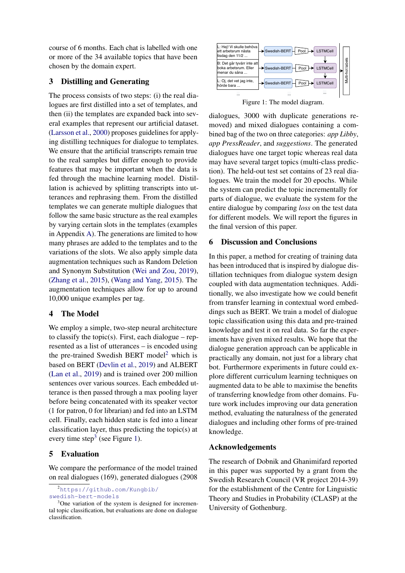course of 6 months. Each chat is labelled with one or more of the 34 available topics that have been chosen by the domain expert.

# 3 Distilling and Generating

The process consists of two steps: (i) the real dialogues are first distilled into a set of templates, and then (ii) the templates are expanded back into several examples that represent our artificial dataset. [\(Larsson et al.,](#page-2-2) [2000\)](#page-2-2) proposes guidelines for applying distilling techniques for dialogue to templates. We ensure that the artificial transcripts remain true to the real samples but differ enough to provide features that may be important when the data is fed through the machine learning model. Distillation is achieved by splitting transcripts into utterances and rephrasing them. From the distilled templates we can generate multiple dialogues that follow the same basic structure as the real examples by varying certain slots in the templates (examples in Appendix [A\)](#page-2-3). The generations are limited to how many phrases are added to the templates and to the variations of the slots. We also apply simple data augmentation techniques such as Random Deletion and Synonym Substitution [\(Wei and Zou,](#page-2-4) [2019\)](#page-2-4), [\(Zhang et al.,](#page-2-5) [2015\)](#page-2-5), [\(Wang and Yang,](#page-2-6) [2015\)](#page-2-6). The augmentation techniques allow for up to around 10,000 unique examples per tag.

# 4 The Model

We employ a simple, two-step neural architecture to classify the topic(s). First, each dialogue – represented as a list of utterances – is encoded using the pre-trained Swedish BERT model<sup>[2](#page-1-0)</sup> which is based on BERT [\(Devlin et al.,](#page-2-7) [2019\)](#page-2-7) and ALBERT [\(Lan et al.,](#page-2-8) [2019\)](#page-2-8) and is trained over 200 million sentences over various sources. Each embedded utterance is then passed through a max pooling layer before being concatenated with its speaker vector (1 for patron, 0 for librarian) and fed into an LSTM cell. Finally, each hidden state is fed into a linear classification layer, thus predicting the topic(s) at every time step<sup>[3](#page-1-1)</sup> (see Figure [1\)](#page-1-2).

# 5 Evaluation

We compare the performance of the model trained on real dialogues (169), generated dialogues (2908

<span id="page-1-0"></span><sup>2</sup>[https://github.com/Kungbib/](https://github.com/Kungbib/swedish-bert-models)

<span id="page-1-2"></span>

Figure 1: The model diagram.

dialogues, 3000 with duplicate generations removed) and mixed dialogues containing a combined bag of the two on three categories: *app Libby*, *app PressReader*, and *suggestions*. The generated dialogues have one target topic whereas real data may have several target topics (multi-class prediction). The held-out test set contains of 23 real dialogues. We train the model for 20 epochs. While the system can predict the topic incrementally for parts of dialogue, we evaluate the system for the entire dialogue by comparing *loss* on the test data for different models. We will report the figures in the final version of this paper.

### 6 Discussion and Conclusions

In this paper, a method for creating of training data has been introduced that is inspired by dialogue distillation techniques from dialogue system design coupled with data augmentation techniques. Additionally, we also investigate how we could benefit from transfer learning in contextual word embeddings such as BERT. We train a model of dialogue topic classification using this data and pre-trained knowledge and test it on real data. So far the experiments have given mixed results. We hope that the dialogue generation approach can be applicable in practically any domain, not just for a library chat bot. Furthermore experiments in future could explore different curriculum learning techniques on augmented data to be able to maximise the benefits of transferring knowledge from other domains. Future work includes improving our data generation method, evaluating the naturalness of the generated dialogues and including other forms of pre-trained knowledge.

# Acknowledgements

The research of Dobnik and Ghanimifard reported in this paper was supported by a grant from the Swedish Research Council (VR project 2014-39) for the establishment of the Centre for Linguistic Theory and Studies in Probability (CLASP) at the University of Gothenburg.

[swedish-bert-models](https://github.com/Kungbib/swedish-bert-models)

<span id="page-1-1"></span><sup>3</sup>One variation of the system is designed for incremental topic classification, but evaluations are done on dialogue classification.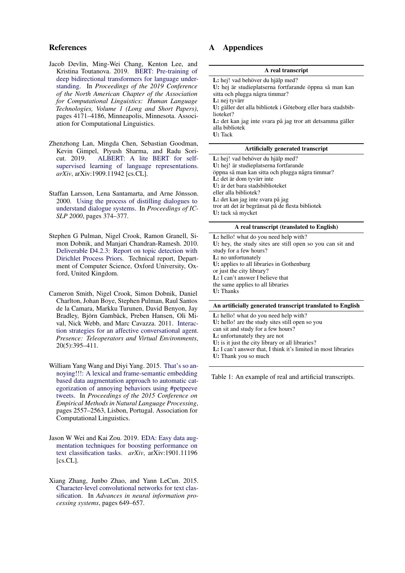### References

- <span id="page-2-7"></span>Jacob Devlin, Ming-Wei Chang, Kenton Lee, and Kristina Toutanova. 2019. [BERT: Pre-training of](https://doi.org/10.18653/v1/N19-1423) [deep bidirectional transformers for language under](https://doi.org/10.18653/v1/N19-1423)[standing.](https://doi.org/10.18653/v1/N19-1423) In *Proceedings of the 2019 Conference of the North American Chapter of the Association for Computational Linguistics: Human Language Technologies, Volume 1 (Long and Short Papers)*, pages 4171–4186, Minneapolis, Minnesota. Association for Computational Linguistics.
- <span id="page-2-8"></span>Zhenzhong Lan, Mingda Chen, Sebastian Goodman, Kevin Gimpel, Piyush Sharma, and Radu Soricut. 2019. [ALBERT: A lite BERT for self](https://arxiv.org/abs/1909.11942)[supervised learning of language representations.](https://arxiv.org/abs/1909.11942) *arXiv*, arXiv:1909.11942 [cs.CL].
- <span id="page-2-2"></span>Staffan Larsson, Lena Santamarta, and Arne Jönsson. 2000. [Using the process of distilling dialogues to](https://www.ida.liu.se/~arnjo82/papers/icslp-sllsaj-00.ps) [understand dialogue systems.](https://www.ida.liu.se/~arnjo82/papers/icslp-sllsaj-00.ps) In *Proceedings of IC-SLP 2000*, pages 374–377.
- <span id="page-2-1"></span>Stephen G Pulman, Nigel Crook, Ramon Granell, Simon Dobnik, and Manjari Chandran-Ramesh. 2010. [Deliverable D4.2.3: Report on topic detection with](https://gup.ub.gu.se/publication/289556?lang=en) [Dirichlet Process Priors.](https://gup.ub.gu.se/publication/289556?lang=en) Technical report, Department of Computer Science, Oxford University, Oxford, United Kingdom.
- <span id="page-2-0"></span>Cameron Smith, Nigel Crook, Simon Dobnik, Daniel Charlton, Johan Boye, Stephen Pulman, Raul Santos de la Camara, Markku Turunen, David Benyon, Jay Bradley, Björn Gambäck, Preben Hansen, Oli Mival, Nick Webb, and Marc Cavazza. 2011. [Interac](https://doi.org/10.1162/PRES_a_00063)[tion strategies for an affective conversational agent.](https://doi.org/10.1162/PRES_a_00063) *Presence: Teleoperators and Virtual Environments*, 20(5):395–411.
- <span id="page-2-6"></span>William Yang Wang and Diyi Yang. 2015. [That's so an](https://doi.org/10.18653/v1/D15-1306)[noying!!!: A lexical and frame-semantic embedding](https://doi.org/10.18653/v1/D15-1306) [based data augmentation approach to automatic cat](https://doi.org/10.18653/v1/D15-1306)[egorization of annoying behaviors using #petpeeve](https://doi.org/10.18653/v1/D15-1306) [tweets.](https://doi.org/10.18653/v1/D15-1306) In *Proceedings of the 2015 Conference on Empirical Methods in Natural Language Processing*, pages 2557–2563, Lisbon, Portugal. Association for Computational Linguistics.
- <span id="page-2-4"></span>Jason W Wei and Kai Zou. 2019. [EDA: Easy data aug](https://arxiv.org/abs/1901.11196)[mentation techniques for boosting performance on](https://arxiv.org/abs/1901.11196) [text classification tasks.](https://arxiv.org/abs/1901.11196) *arXiv*, arXiv:1901.11196 [cs.CL].
- <span id="page-2-5"></span>Xiang Zhang, Junbo Zhao, and Yann LeCun. 2015. [Character-level convolutional networks for text clas](https://papers.nips.cc/paper/5782-character-level-convolutional-networks-for-text-classification)[sification.](https://papers.nips.cc/paper/5782-character-level-convolutional-networks-for-text-classification) In *Advances in neural information processing systems*, pages 649–657.

# <span id="page-2-3"></span>A Appendices

| A real transcript                                                                                   |  |  |  |
|-----------------------------------------------------------------------------------------------------|--|--|--|
| <b>L</b> : hej! vad behöver du hjälp med?<br>U: hej är studieplatserna fortfarande öppna så man kan |  |  |  |
| sitta och plugga några timmar?<br>L: nej tyvärr                                                     |  |  |  |
| U: gäller det alla bibliotek i Göteborg eller bara stadsbib-<br>lioteket?                           |  |  |  |
| <b>L</b> : det kan jag inte svara på jag tror att detsamma gäller                                   |  |  |  |
| alla bibliotek<br>U: Tack                                                                           |  |  |  |
|                                                                                                     |  |  |  |

#### Artificially generated transcript

L: hej! vad behöver du hjälp med? U: hej! är studieplatserna fortfarande öppna så man kan sitta och plugga några timmar? L: det är dom tyvärr inte U: är det bara stadsbiblioteket eller alla bibliotek? L: det kan jag inte svara på jag tror att det är begränsat på de flesta bibliotek U: tack så mycket

#### A real transcript (translated to English)

L: hello! what do you need help with? U: hey, the study sites are still open so you can sit and study for a few hours? L: no unfortunately U: applies to all libraries in Gothenburg or just the city library? L: I can't answer I believe that the same applies to all libraries U: Thanks

#### An artificially generated transcript translated to English

L: hello! what do you need help with? U: hello! are the study sites still open so you can sit and study for a few hours? L: unfortunately they are not U: is it just the city library or all libraries? L: I can't answer that, I think it's limited in most libraries U: Thank you so much

Table 1: An example of real and artificial transcripts.